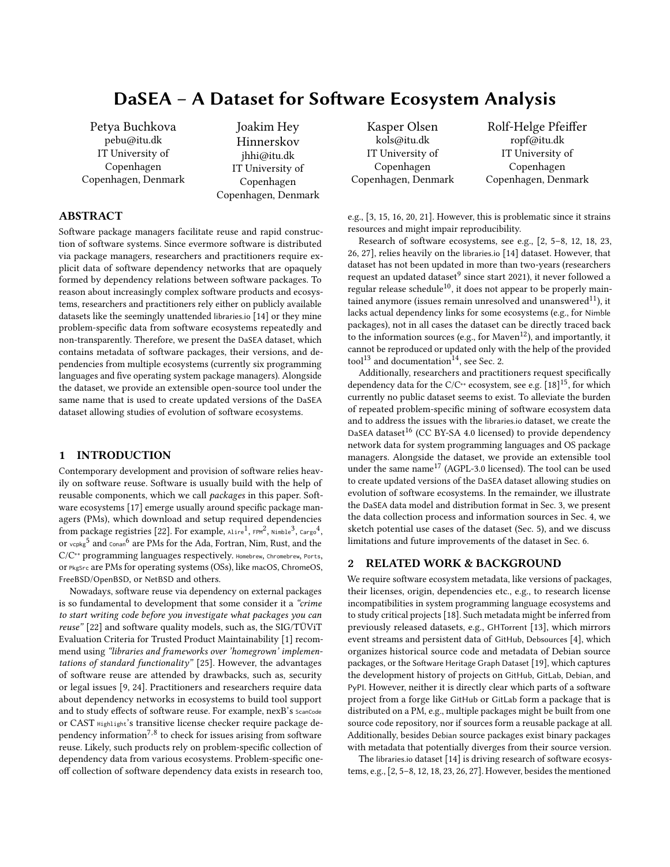# <span id="page-0-2"></span>DaSEA – A Dataset for Software Ecosystem Analysis

Petya Buchkova pebu@itu.dk IT University of Copenhagen Copenhagen, Denmark

Joakim Hey Hinnerskov jhhi@itu.dk IT University of Copenhagen Copenhagen, Denmark

### ABSTRACT

Software package managers facilitate reuse and rapid construction of software systems. Since evermore software is distributed via package managers, researchers and practitioners require explicit data of software dependency networks that are opaquely formed by dependency relations between software packages. To reason about increasingly complex software products and ecosystems, researchers and practitioners rely either on publicly available datasets like the seemingly unattended libraries.io [\[14\]](#page-4-0) or they mine problem-specific data from software ecosystems repeatedly and non-transparently. Therefore, we present the DaSEA dataset, which contains metadata of software packages, their versions, and dependencies from multiple ecosystems (currently six programming languages and five operating system package managers). Alongside the dataset, we provide an extensible open-source tool under the same name that is used to create updated versions of the DaSEA dataset allowing studies of evolution of software ecosystems.

### <span id="page-0-1"></span>1 INTRODUCTION

Contemporary development and provision of software relies heavily on software reuse. Software is usually build with the help of reusable components, which we call packages in this paper. Software ecosystems [\[17\]](#page-4-1) emerge usually around specific package managers (PMs), which download and setup required dependencies from package registries [\[22\]](#page-4-2). For example,  $_{\text{Alire}}$ <sup>1</sup>,  $_{\text{FPM}}$ <sup>2</sup>,  $_{\text{Nimble}}$ <sup>3</sup>,  $_{\text{Carg0}}$ <sup>4</sup>, or vcpkg<sup>5</sup> and conan<sup>6</sup> are PMs for the Ada, Fortran, Nim, Rust, and the C/C++ programming languages respectively. Homebrew, Chromebrew, Ports, or PkgSrc are PMs for operating systems (OSs), like macOS, ChromeOS, FreeBSD/OpenBSD, or NetBSD and others.

Nowadays, software reuse via dependency on external packages is so fundamental to development that some consider it a "crime to start writing code before you investigate what packages you can reuse" [\[22\]](#page-4-2) and software quality models, such as, the SIG/TÜViT Evaluation Criteria for Trusted Product Maintainability [\[1\]](#page-3-0) recommend using "libraries and frameworks over 'homegrown' implementations of standard functionality" [\[25\]](#page-4-3). However, the advantages of software reuse are attended by drawbacks, such as, security or legal issues [\[9,](#page-4-4) [24\]](#page-4-5). Practitioners and researchers require data about dependency networks in ecosystems to build tool support and to study effects of software reuse. For example, nexB's ScanCode or CAST Highlight's transitive license checker require package dependency information<sup>7,8</sup> to check for issues arising from software reuse. Likely, such products rely on problem-specific collection of dependency data from various ecosystems. Problem-specific oneoff collection of software dependency data exists in research too,

Kasper Olsen kols@itu.dk IT University of Copenhagen Copenhagen, Denmark Rolf-Helge Pfeiffer ropf@itu.dk IT University of Copenhagen Copenhagen, Denmark

e.g., [\[3,](#page-3-1) [15,](#page-4-6) [16,](#page-4-7) [20,](#page-4-8) [21\]](#page-4-9). However, this is problematic since it strains resources and might impair reproducibility.

Research of software ecosystems, see e.g., [\[2,](#page-3-2) [5](#page-4-10)[–8,](#page-4-11) [12,](#page-4-12) [18,](#page-4-13) [23,](#page-4-14) [26,](#page-4-15) [27\]](#page-4-16), relies heavily on the libraries.io [\[14\]](#page-4-0) dataset. However, that dataset has not been updated in more than two-years (researchers request an updated dataset $^9$  since start 2021), it never followed a regular release schedule<sup>10</sup>, it does not appear to be properly maintained anymore (issues remain unresolved and unanswered $^{11}$ ), it lacks actual dependency links for some ecosystems (e.g., for Nimble packages), not in all cases the dataset can be directly traced back to the information sources (e.g., for  $Maven<sup>12</sup>$ ), and importantly, it cannot be reproduced or updated only with the help of the provided tool<sup>13</sup> and documentation<sup>14</sup>, see [Sec. 2.](#page-0-0)

Additionally, researchers and practitioners request specifically dependency data for the C/C<sup>++</sup> ecosystem, see e.g.  $[18]^{15}$  $[18]^{15}$ , for which currently no public dataset seems to exist. To alleviate the burden of repeated problem-specific mining of software ecosystem data and to address the issues with the libraries.io dataset, we create the DaSEA dataset<sup>16</sup> (CC BY-SA 4.0 licensed) to provide dependency network data for system programming languages and OS package managers. Alongside the dataset, we provide an extensible tool under the same name<sup>17</sup> (AGPL-3.0 licensed). The tool can be used to create updated versions of the DaSEA dataset allowing studies on evolution of software ecosystems. In the remainder, we illustrate the DaSEA data model and distribution format in [Sec. 3,](#page-1-0) we present the data collection process and information sources in [Sec. 4,](#page-1-1) we sketch potential use cases of the dataset [\(Sec. 5\)](#page-2-0), and we discuss limitations and future improvements of the dataset in [Sec. 6.](#page-3-3)

### <span id="page-0-0"></span>2 RELATED WORK & BACKGROUND

We require software ecosystem metadata, like versions of packages, their licenses, origin, dependencies etc., e.g., to research license incompatibilities in system programming language ecosystems and to study critical projects [\[18\]](#page-4-13). Such metadata might be inferred from previously released datasets, e.g., GHTorrent [\[13\]](#page-4-17), which mirrors event streams and persistent data of GitHub, Debsources [\[4\]](#page-4-18), which organizes historical source code and metadata of Debian source packages, or the Software Heritage Graph Dataset [\[19\]](#page-4-19), which captures the development history of projects on GitHub, GitLab, Debian, and PyPI. However, neither it is directly clear which parts of a software project from a forge like GitHub or GitLab form a package that is distributed on a PM, e.g., multiple packages might be built from one source code repository, nor if sources form a reusable package at all. Additionally, besides Debian source packages exist binary packages with metadata that potentially diverges from their source version.

The libraries.io dataset [\[14\]](#page-4-0) is driving research of software ecosystems, e.g., [\[2,](#page-3-2) [5–](#page-4-10)[8,](#page-4-11) [12,](#page-4-12) [18,](#page-4-13) [23,](#page-4-14) [26,](#page-4-15) [27\]](#page-4-16). However, besides the mentioned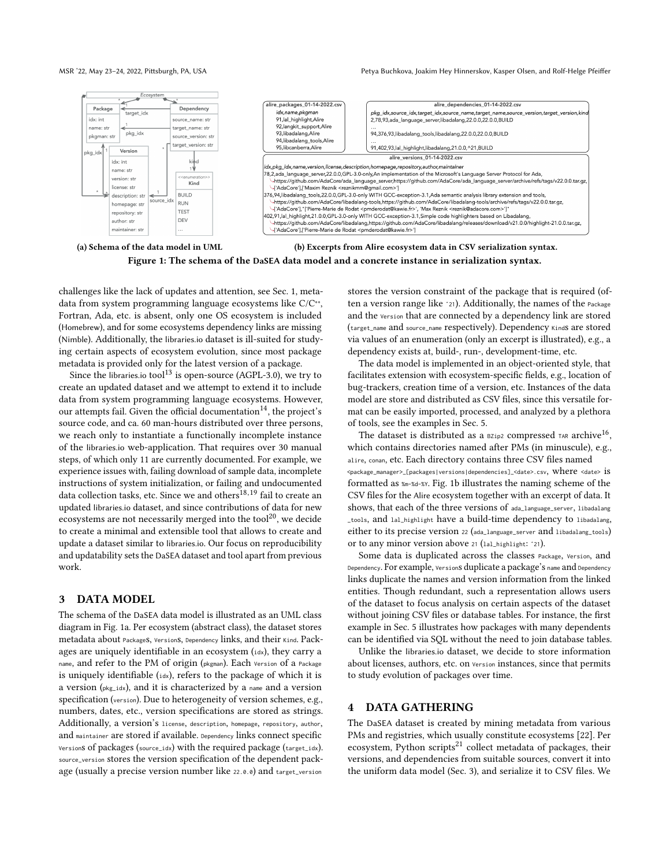<span id="page-1-2"></span>

Figure 1: The schema of the DaSEA data model and a concrete instance in serialization syntax.

challenges like the lack of updates and attention, see [Sec. 1,](#page-0-1) metadata from system programming language ecosystems like C/C<sup>++</sup>, Fortran, Ada, etc. is absent, only one [OS](#page-0-2) ecosystem is included (Homebrew), and for some ecosystems dependency links are missing (Nimble). Additionally, the libraries.io dataset is ill-suited for studying certain aspects of ecosystem evolution, since most package metadata is provided only for the latest version of a package.

Since the libraries.io tool<sup>13</sup> is open-source (AGPL-3.0), we try to create an updated dataset and we attempt to extend it to include data from system programming language ecosystems. However, our attempts fail. Given the official documentation<sup>14</sup>, the project's source code, and ca. 60 man-hours distributed over three persons, we reach only to instantiate a functionally incomplete instance of the libraries.io web-application. That requires over 30 manual steps, of which only 11 are currently documented. For example, we experience issues with, failing download of sample data, incomplete instructions of system initialization, or failing and undocumented data collection tasks, etc. Since we and others  $^{18,19}$  fail to create an updated libraries.io dataset, and since contributions of data for new ecosystems are not necessarily merged into the tool $^{20}$ , we decide to create a minimal and extensible tool that allows to create and update a dataset similar to libraries.io. Our focus on reproducibility and updatability sets the DaSEA dataset and tool apart from previous work.

### <span id="page-1-0"></span>3 DATA MODEL

The schema of the DaSEA data model is illustrated as an UML class diagram in [Fig. 1a.](#page-1-2) Per ecosystem (abstract class), the dataset stores metadata about PackageS, VersionS, Dependency links, and their Kind. Packages are uniquely identifiable in an ecosystem (idx), they carry a name, and refer to the [PM](#page-0-2) of origin (pkgman). Each Version of a Package is uniquely identifiable (idx), refers to the package of which it is a version (pkg\_idx), and it is characterized by a name and a version specification (version). Due to heterogeneity of version schemes, e.g., numbers, dates, etc., version specifications are stored as strings. Additionally, a version's license, description, homepage, repository, author, and maintainer are stored if available. Dependency links connect specific Versions of packages (source\_idx) with the required package (target\_idx). source\_version stores the version specification of the dependent package (usually a precise version number like 22.0.0) and target\_version

stores the version constraint of the package that is required (often a version range like ˆ21). Additionally, the names of the Package and the Version that are connected by a dependency link are stored (target\_name and source\_name respectively). Dependency Kinds are stored via values of an enumeration (only an excerpt is illustrated), e.g., a dependency exists at, build-, run-, development-time, etc.

The data model is implemented in an object-oriented style, that facilitates extension with ecosystem-specific fields, e.g., location of bug-trackers, creation time of a version, etc. Instances of the data model are store and distributed as CSV files, since this versatile format can be easily imported, processed, and analyzed by a plethora of tools, see the examples in [Sec. 5.](#page-2-0)

The dataset is distributed as a  $B_{\text{zip2}}$  compressed  $TAR$  archive<sup>16</sup>, which contains directories named after [PMs](#page-0-2) (in minuscule), e.g., alire, conan, etc. Each directory contains three CSV files named  $\epsilon$ package\_manager>\_[packages|versions|dependencies]\_<date>.csv, Where <date> is formatted as %m-%d-%Y. [Fig. 1b](#page-1-2) illustrates the naming scheme of the CSV files for the Alire ecosystem together with an excerpt of data. It shows, that each of the three versions of ada\_language\_server, libadalang \_tools, and lal\_highlight have a build-time dependency to libadalang, either to its precise version <sup>22</sup> (ada\_language\_server and libadalang\_tools) or to any minor version above <sup>21</sup> (lal\_highlight: ˆ21).

Some data is duplicated across the classes Package, Version, and Dependency. For example, Versions duplicate a package's name and Dependency links duplicate the names and version information from the linked entities. Though redundant, such a representation allows users of the dataset to focus analysis on certain aspects of the dataset without joining CSV files or database tables. For instance, the first example in [Sec. 5](#page-2-0) illustrates how packages with many dependents can be identified via SQL without the need to join database tables.

Unlike the libraries.io dataset, we decide to store information about licenses, authors, etc. on version instances, since that permits to study evolution of packages over time.

### <span id="page-1-1"></span>4 DATA GATHERING

The DaSEA dataset is created by mining metadata from various [PMs](#page-0-2) and registries, which usually constitute ecosystems [\[22\]](#page-4-2). Per ecosystem, Python scripts $^{21}$  collect metadata of packages, their versions, and dependencies from suitable sources, convert it into the uniform data model [\(Sec. 3\)](#page-1-0), and serialize it to CSV files. We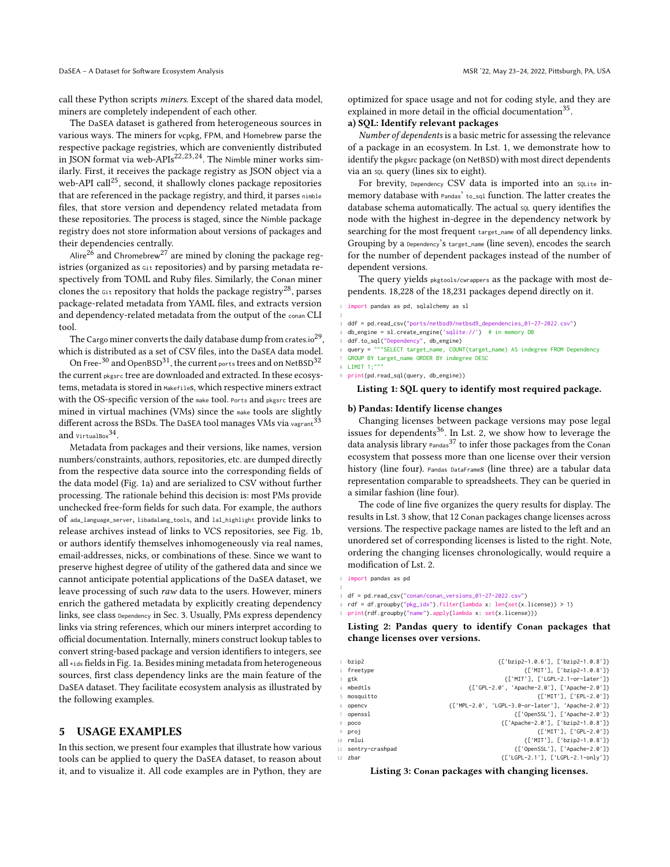optimized for space usage and not for coding style, and they are

explained in more detail in the official documentation<sup>35</sup>.

### a) SQL: Identify relevant packages

Number of dependents is a basic metric for assessing the relevance of a package in an ecosystem. In [Lst. 1,](#page-2-1) we demonstrate how to identify the pkgsrc package (on NetBSD) with most direct dependents via an SQL query (lines six to eight).

For brevity, Dependency CSV data is imported into an solite inmemory database with Pandas' to\_sql function. The latter creates the database schema automatically. The actual sou query identifies the node with the highest in-degree in the dependency network by searching for the most frequent target\_name of all dependency links. Grouping by a Dependency's target\_name (line seven), encodes the search for the number of dependent packages instead of the number of dependent versions.

The query yields pkgtools/cwrappers as the package with most dependents. 18,228 of the 18,231 packages depend directly on it.

<span id="page-2-1"></span>import pandas as pd, sqlalchemy as sl

- 2 3 ddf = pd.read\_csv("ports/netbsd9/netbsd9\_dependencies\_01-27-2022.csv")
- db\_engine = sl.create\_engine('sqlite://') # in memory DB

ddf.to\_sql("Dependency", db\_engine)

- query = """SELECT target\_name, COUNT(target\_name) AS indegree FROM Dependency
- 7 GROUP BY target\_name ORDER BY indegree DESC
- $8$  LIMIT  $1$ ;"
	- 9 print(pd.read\_sql(query, db\_engine))

#### Listing 1: SQL query to identify most required package.

#### b) Pandas: Identify license changes

Changing licenses between package versions may pose legal issues for dependents<sup>36</sup>. In [Lst. 2,](#page-2-2) we show how to leverage the data analysis library  $P$ andas<sup>37</sup> to infer those packages from the Conan ecosystem that possess more than one license over their version history (line four). Pandas DataFrames (line three) are a tabular data representation comparable to spreadsheets. They can be queried in a similar fashion (line four).

The code of line five organizes the query results for display. The results in [Lst. 3](#page-2-3) show, that 12 Conan packages change licenses across versions. The respective package names are listed to the left and an unordered set of corresponding licenses is listed to the right. Note, ordering the changing licenses chronologically, would require a modification of [Lst. 2.](#page-2-2)

- <span id="page-2-2"></span>1 import pandas as pd
- 3 df = pd.read\_csv("conan/conan\_versions\_01-27-2022.csv")
- 4 rdf = df.groupby("pkg\_idx").filter(lambda x: len(set(x.license)) > 1)
- print(rdf.groupby("name").apply(lambda x: set(x.license)))

Listing 2: Pandas query to identify Conan packages that change licenses over versions.

<span id="page-2-3"></span>

| $1$ bzip2          | {['bzip2-1.0.6'], ['bzip2-1.0.8']}                |
|--------------------|---------------------------------------------------|
| 2 freetype         | {['MIT'], ['bzip2-1.0.8']}                        |
| 3 gtk              | {['MIT'], ['LGPL-2.1-or-later']}                  |
| 4 mbedtls          | {['GPL-2.0', 'Apache-2.0'], ['Apache-2.0']}       |
| 5 mosquitto        | {['MIT'], ['EPL-2.0']}                            |
| 6 opency           | {['MPL-2.0', 'LGPL-3.0-or-later'], 'Apache-2.0']} |
| 7 openssl          | {['OpenSSL'], ['Apache-2.0']}                     |
| 8 poco             | {['Apache-2.0'], ['bzip2-1.0.8']}                 |
| 9 proj             | {['MIT'], ['GPL-2.0']}                            |
| 10 <b>rmlui</b>    | {['MIT'], ['bzip2-1.0.8']}                        |
| 11 sentry-crashpad | {['OpenSSL'], ['Apache-2.0']}                     |
| $12$ zbar          | {['LGPL-2.1'], ['LGPL-2.1-only']}                 |

Listing 3: Conan packages with changing licenses.

## call these Python scripts miners. Except of the shared data model, miners are completely independent of each other.

The DaSEA dataset is gathered from heterogeneous sources in various ways. The miners for vcpkg, FPM, and Homebrew parse the respective package registries, which are conveniently distributed in JSON format via web-APIs<sup>22, 23, 24</sup>. The Nimble miner works similarly. First, it receives the package registry as JSON object via a web-API call<sup>25</sup>, second, it shallowly clones package repositories that are referenced in the package registry, and third, it parses nimble files, that store version and dependency related metadata from these repositories. The process is staged, since the Nimble package registry does not store information about versions of packages and their dependencies centrally.

Alire<sup>26</sup> and Chromebrew<sup>27</sup> are mined by cloning the package registries (organized as Git repositories) and by parsing metadata respectively from TOML and Ruby files. Similarly, the Conan miner clones the  $G_{i}$  repository that holds the package registry<sup>28</sup>, parses package-related metadata from YAML files, and extracts version and dependency-related metadata from the output of the conan CLI tool.

The Cargo miner converts the daily database dump from crates.io $^{29},\,$ which is distributed as a set of CSV files, into the DaSEA data model.

On Free- $^{\rm 30}$  and OpenBSD $^{\rm 31}$ , the current <sub>ports</sub> trees and on NetBSD $^{\rm 32}$ the current pkgsrc tree are downloaded and extracted. In these ecosystems, metadata is stored in Makefiles, which respective miners extract with the [OS-](#page-0-2)specific version of the make tool. Ports and pkgsrc trees are mined in [virtual machines \(VMs\)](#page-0-2) since the make tools are slightly different across the BSDs. The DaSEA tool manages [VMs](#page-0-2) via vagrant<sup>33</sup> and virtualBox $^{34}$ .

Metadata from packages and their versions, like names, version numbers/constraints, authors, repositories, etc. are dumped directly from the respective data source into the corresponding fields of the data model [\(Fig. 1a\)](#page-1-2) and are serialized to CSV without further processing. The rationale behind this decision is: most [PMs](#page-0-2) provide unchecked free-form fields for such data. For example, the authors of ada\_language\_server, libadalang\_tools, and lal\_highlight provide links to release archives instead of links to VCS repositories, see [Fig. 1b,](#page-1-2) or authors identify themselves inhomogeneously via real names, email-addresses, nicks, or combinations of these. Since we want to preserve highest degree of utility of the gathered data and since we cannot anticipate potential applications of the DaSEA dataset, we leave processing of such raw data to the users. However, miners enrich the gathered metadata by explicitly creating dependency links, see class Dependency in [Sec. 3.](#page-1-0) Usually, [PMs](#page-0-2) express dependency links via string references, which our miners interpret according to official documentation. Internally, miners construct lookup tables to convert string-based package and version identifiers to integers, see all \*idx fields in [Fig. 1a.](#page-1-2) Besides mining metadata from heterogeneous sources, first class dependency links are the main feature of the DaSEA dataset. They facilitate ecosystem analysis as illustrated by the following examples.

### <span id="page-2-0"></span>5 USAGE EXAMPLES

In this section, we present four examples that illustrate how various tools can be applied to query the DaSEA dataset, to reason about it, and to visualize it. All code examples are in Python, they are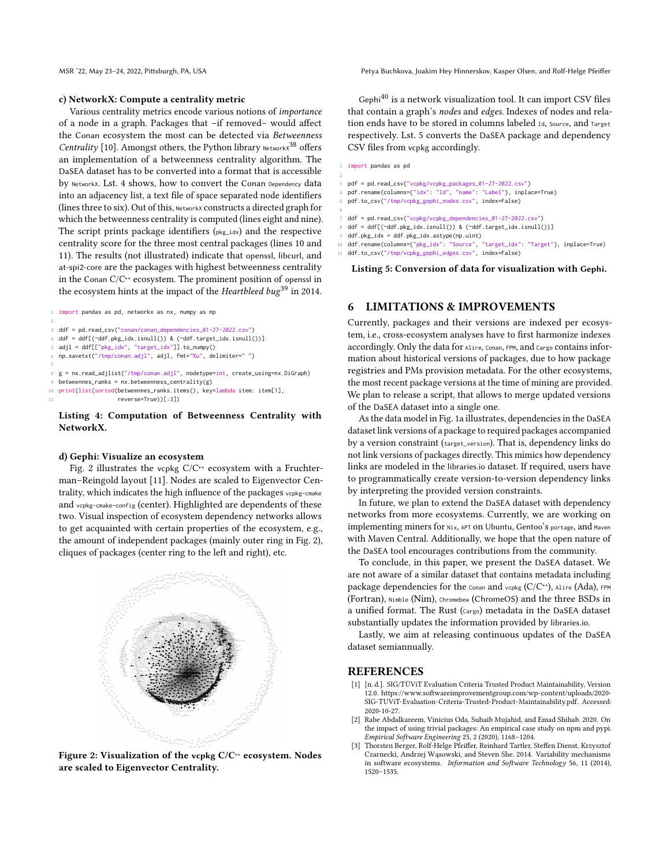#### c) NetworkX: Compute a centrality metric

Various centrality metrics encode various notions of importance of a node in a graph. Packages that –if removed– would affect the Conan ecosystem the most can be detected via Betweenness *Centrality* [\[10\]](#page-4-20). Amongst others, the Python library Networkx<sup>38</sup> offers an implementation of a betweenness centrality algorithm. The DaSEA dataset has to be converted into a format that is accessible by NetworkX. [Lst. 4](#page-3-4) shows, how to convert the Conan Dependency data into an adjacency list, a text file of space separated node identifiers (lines three to six). Out of this, NetworkX constructs a directed graph for which the betweenness centrality is computed (lines eight and nine). The script prints package identifiers  $(p \mid x \in \mathbb{R})$  and the respective centrality score for the three most central packages (lines 10 and 11). The results (not illustrated) indicate that openssl, libcurl, and at-spi2-core are the packages with highest betweenness centrality in the Conan C/C++ ecosystem. The prominent position of openssl in the ecosystem hints at the impact of the Heartbleed bug<sup>39</sup> in 2014.

<span id="page-3-4"></span>import pandas as pd, networkx as nx, numpy as np

```
2
ddf = pd.read csv("conan/conan_dependencies_01-27-2022.csv")
```

```
4 ddf = ddf[(~ddf.pkg_idx.isnull()) & (~ddf.target_idx.isnull())]
```
8 g = nx.read\_adjlist("/tmp/conan.adjl", nodetype=int, create\_using=nx.DiGraph)

- $betweennes\_ranks = nx.betweenness\_centrality(g)$
- 10 print(list(sorted(betweennes\_ranks.items(), key=lambda item: item[1],

reverse=True))[:3])

### Listing 4: Computation of Betweenness Centrality with NetworkX.

### d) Gephi: Visualize an ecosystem

[Fig. 2](#page-3-5) illustrates the vcpkg  $C/C^{+}$  ecosystem with a Fruchterman–Reingold layout [\[11\]](#page-4-21). Nodes are scaled to Eigenvector Centrality, which indicates the high influence of the packages vcpkg-cmake and vcpkg-cmake-config (center). Highlighted are dependents of these two. Visual inspection of ecosystem dependency networks allows to get acquainted with certain properties of the ecosystem, e.g., the amount of independent packages (mainly outer ring in [Fig. 2\)](#page-3-5), cliques of packages (center ring to the left and right), etc.

<span id="page-3-5"></span>

Figure 2: Visualization of the vcpkg C/C<sup>++</sup> ecosystem. Nodes are scaled to Eigenvector Centrality.

MSR '22, May 23–24, 2022, Pittsburgh, PA, USA Petya Buchkova, Joakim Hey Hinnerskov, Kasper Olsen, and Rolf-Helge Pfeiffer

Gephi $^{40}$  is a network visualization tool. It can import CSV files that contain a graph's nodes and edges. Indexes of nodes and relation ends have to be stored in columns labeled Id, Source, and Target respectively. [Lst. 5](#page-3-6) converts the DaSEA package and dependency CSV files from vcpkg accordingly.

#### <span id="page-3-6"></span>1 import pandas as pd

- 2 3 pdf = pd.read\_csv("vcpkg/vcpkg\_packages\_01-27-2022.csv")
- 4 pdf.rename(columns={"idx": "Id", "name": "Label"}, inplace=True)
- 5 pdf.to\_csv("/tmp/vcpkg\_gephi\_nodes.csv", index=False)
- 6
- ddf = pd.read\_csv("vcpkg/vcpkg\_dependencies\_01-27-2022.csv") ddf = ddf[(~ddf.pkg\_idx.isnull()) & (~ddf.target\_idx.isnull())]
- 
- 9 ddf.pkg\_idx = ddf.pkg\_idx.astype(np.uint)
- 10 ddf.rename(columns={"pkg\_idx": "Source", "target\_idx": "Target"}, inplace=True)
- 11 ddf.to\_csv("/tmp/vcpkg\_gephi\_edges.csv", index=False)

### Listing 5: Conversion of data for visualization with Gephi.

### <span id="page-3-3"></span>6 LIMITATIONS & IMPROVEMENTS

Currently, packages and their versions are indexed per ecosystem, i.e., cross-ecosystem analyses have to first harmonize indexes accordingly. Only the data for Alire, Conan, FPM, and Cargo contains information about historical versions of packages, due to how package registries and [PMs](#page-0-2) provision metadata. For the other ecosystems, the most recent package versions at the time of mining are provided. We plan to release a script, that allows to merge updated versions of the DaSEA dataset into a single one.

As the data model in [Fig. 1a](#page-1-2) illustrates, dependencies in the DaSEA dataset link versions of a package to required packages accompanied by a version constraint (target\_version). That is, dependency links do not link versions of packages directly. This mimics how dependency links are modeled in the libraries.io dataset. If required, users have to programmatically create version-to-version dependency links by interpreting the provided version constraints.

In future, we plan to extend the DaSEA dataset with dependency networks from more ecosystems. Currently, we are working on implementing miners for Nix, APT on Ubuntu, Gentoo's portage, and Maven with Maven Central. Additionally, we hope that the open nature of the DaSEA tool encourages contributions from the community.

To conclude, in this paper, we present the DaSEA dataset. We are not aware of a similar dataset that contains metadata including package dependencies for the  $_{\text{Conan}}$  and  $_{\text{vcpkg}}$  ( $C/C^{+1}$ ), Alire (Ada), FPM (Fortran), Nimble (Nim), Chromebew (ChromeOS) and the three BSDs in a unified format. The Rust (Cargo) metadata in the DaSEA dataset substantially updates the information provided by libraries.io.

Lastly, we aim at releasing continuous updates of the DaSEA dataset semiannually.

### REFERENCES

- <span id="page-3-0"></span>[1] [n. d.]. SIG/TÜViT Evaluation Criteria Trusted Product Maintainability, Version 12.0. [https://www.softwareimprovementgroup.com/wp-content/uploads/2020-](https://www.softwareimprovementgroup.com/wp-content/uploads/2020-SIG-TUViT-Evaluation-Criteria-Trusted-Product-Maintainability.pdf) [SIG-TUViT-Evaluation-Criteria-Trusted-Product-Maintainability.pdf.](https://www.softwareimprovementgroup.com/wp-content/uploads/2020-SIG-TUViT-Evaluation-Criteria-Trusted-Product-Maintainability.pdf) Accessed: 2020-10-27.
- <span id="page-3-2"></span>[2] Rabe Abdalkareem, Vinicius Oda, Suhaib Mujahid, and Emad Shihab. 2020. On the impact of using trivial packages: An empirical case study on npm and pypi. Empirical Software Engineering 25, 2 (2020), 1168–1204.
- <span id="page-3-1"></span>[3] Thorsten Berger, Rolf-Helge Pfeiffer, Reinhard Tartler, Steffen Dienst, Krzysztof Czarnecki, Andrzej Wąsowski, and Steven She. 2014. Variability mechanisms in software ecosystems. Information and Software Technology 56, 11 (2014), 1520–1535.

adjl = ddf[["pkg\_idx", "target\_idx"]].to\_numpy()

<sup>6</sup> np.savetxt("/tmp/conan.adjl", adjl, fmt="%u", delimiter=" ")